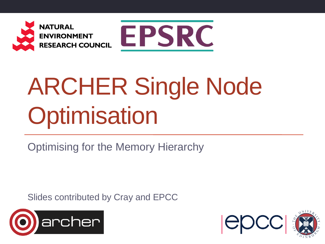



# ARCHER Single Node **Optimisation**

Optimising for the Memory Hierarchy

Slides contributed by Cray and EPCC



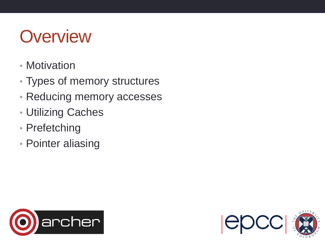#### **Overview**

- Motivation
- Types of memory structures
- Reducing memory accesses
- Utilizing Caches
- Prefetching
- Pointer aliasing



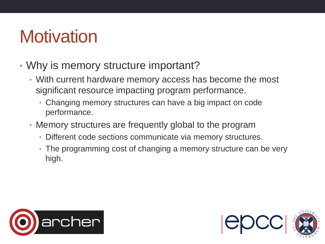#### **Motivation**

- Why is memory structure important?
	- With current hardware memory access has become the most significant resource impacting program performance.
		- Changing memory structures can have a big impact on code performance.
	- Memory structures are frequently global to the program
		- Different code sections communicate via memory structures.
		- The programming cost of changing a memory structure can be very high.



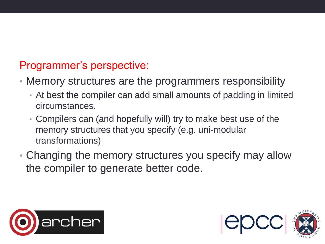#### Programmer's perspective:

- Memory structures are the programmers responsibility
	- At best the compiler can add small amounts of padding in limited circumstances.
	- Compilers can (and hopefully will) try to make best use of the memory structures that you specify (e.g. uni-modular transformations)
- Changing the memory structures you specify may allow the compiler to generate better code.



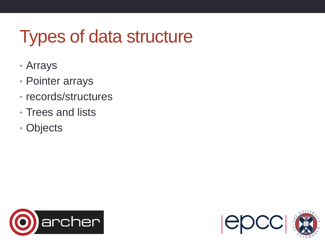### Types of data structure

- Arrays
- Pointer arrays
- records/structures
- Trees and lists
- Objects



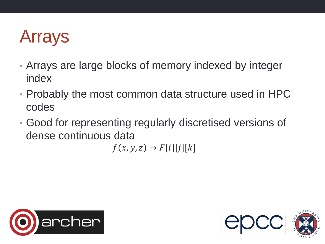#### Arrays

- Arrays are large blocks of memory indexed by integer index
- Probably the most common data structure used in HPC codes
- Good for representing regularly discretised versions of dense continuous data

 $f(x, y, z) \rightarrow F[i][j][k]$ 



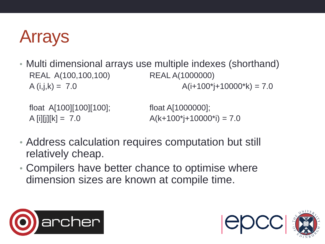#### Arrays

• Multi dimensional arrays use multiple indexes (shorthand) REAL A(100,100,100) REAL A(1000000)  $A(i,j,k) = 7.0$   $A(i+100^* + 10000^* + 10000^*)$ 

float A[100][100][100]; float A[1000000];

A [i][j][k] = 7.0  $A(k+100^*j+10000^*) = 7.0$ 

- Address calculation requires computation but still relatively cheap.
- Compilers have better chance to optimise where dimension sizes are known at compile time.



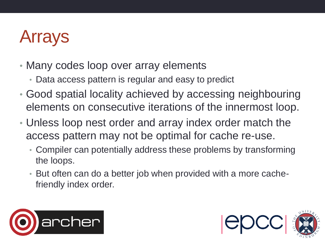#### Arrays

- Many codes loop over array elements
	- Data access pattern is regular and easy to predict
- Good spatial locality achieved by accessing neighbouring elements on consecutive iterations of the innermost loop.
- Unless loop nest order and array index order match the access pattern may not be optimal for cache re-use.
	- Compiler can potentially address these problems by transforming the loops.
	- But often can do a better job when provided with a more cachefriendly index order.



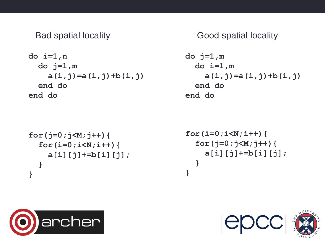$$
do i=1, n
$$
  
\n $do j=1, m$   
\n $a(i,j)=a(i,j)+b(i,j)$   
\nend do  
\nend do

```
for(j=0;j<M;j++){
   for(i=0;i<N;i++){
     a[i][j]+=b[i][j];
  }
}
```
Bad spatial locality **Bad spatial locality Good spatial locality** 

$$
do \ j=1, m
$$
  
\n $do \ i=1, m$   
\n $a(i,j) = a(i,j) + b(i,j)$   
\nend do  
\nend do

```
for(i=0;i<N;i++){
   for(j=0;j<M;j++){
     a[i][j]+=b[i][j];
  }
}
```


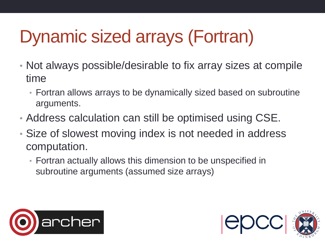## Dynamic sized arrays (Fortran)

- Not always possible/desirable to fix array sizes at compile time
	- Fortran allows arrays to be dynamically sized based on subroutine arguments.
- Address calculation can still be optimised using CSE.
- Size of slowest moving index is not needed in address computation.
	- Fortran actually allows this dimension to be unspecified in subroutine arguments (assumed size arrays)



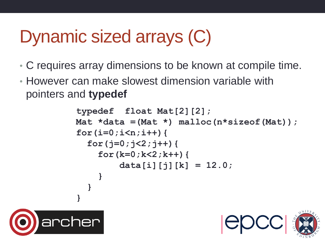### Dynamic sized arrays (C)

- C requires array dimensions to be known at compile time.
- However can make slowest dimension variable with pointers and **typedef**

```
typedef float Mat[2][2];
Mat *data =(Mat *) malloc(n*sizeof(Mat));
for(i=0;i<n;i++){
   for(j=0;j<2;j++){
     for(k=0;k<2;k++){
         data[i][j][k] = 12.0;
 }
   }
}
```


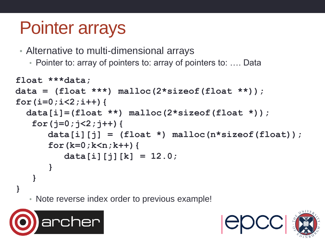#### Pointer arrays

• Alternative to multi-dimensional arrays

• Pointer to: array of pointers to: array of pointers to: .... Data

```
• Note reverse index order to previous example!
float ***data;
data = (float ***) malloc(2*sizeof(float **));
for(i=0;i<2;i++){
   data[i]=(float **) malloc(2*sizeof(float *));
   for(j=0; j<2; j++) {
       data[i][j] = (float *) malloc(n*sizeof(float));
       for(k=0;k<n;k++){
          data[i][j][k] = 12.0;
 }
 }
}
```


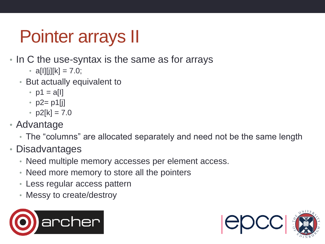### Pointer arrays II

- In C the use-syntax is the same as for arrays
	- $a[1][j][k] = 7.0;$
	- But actually equivalent to
		- $p1 = a[1]$
		- $p2 = p1[j]$
		- $p2[k] = 7.0$
- Advantage
	- The "columns" are allocated separately and need not be the same length
- Disadvantages
	- Need multiple memory accesses per element access.
	- Need more memory to store all the pointers
	- Less regular access pattern
	- Messy to create/destroy



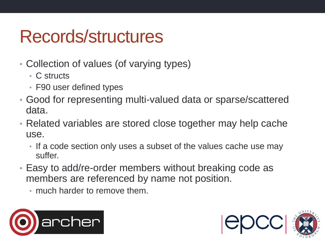#### Records/structures

- Collection of values (of varying types)
	- C structs
	- F90 user defined types
- Good for representing multi-valued data or sparse/scattered data.
- Related variables are stored close together may help cache use.
	- If a code section only uses a subset of the values cache use may suffer.
- Easy to add/re-order members without breaking code as members are referenced by name not position.
	- much harder to remove them.



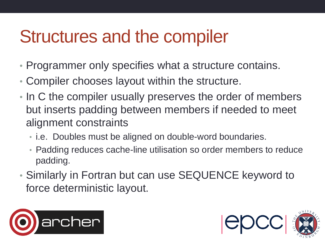#### Structures and the compiler

- Programmer only specifies what a structure contains.
- Compiler chooses layout within the structure.
- In C the compiler usually preserves the order of members but inserts padding between members if needed to meet alignment constraints
	- i.e. Doubles must be aligned on double-word boundaries.
	- Padding reduces cache-line utilisation so order members to reduce padding.
- Similarly in Fortran but can use SEQUENCE keyword to force deterministic layout.



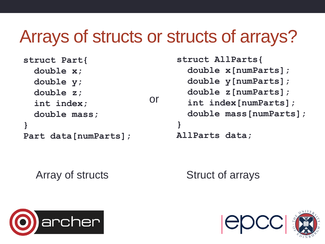#### Arrays of structs or structs of arrays?

| struct Part{          |  |
|-----------------------|--|
| double x;             |  |
| double y;             |  |
| double $z$ ;          |  |
| int index;            |  |
| double mass;          |  |
|                       |  |
| Part data [numParts]; |  |

**struct AllParts{ double x[numParts]; double y[numParts]; double z[numParts]; int index[numParts]; double mass[numParts]; } AllParts data;** 

Array of structs

Struct of arrays



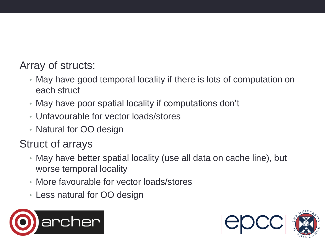#### Array of structs:

- May have good temporal locality if there is lots of computation on each struct
- May have poor spatial locality if computations don't
- Unfavourable for vector loads/stores
- Natural for OO design

#### Struct of arrays

- May have better spatial locality (use all data on cache line), but worse temporal locality
- More favourable for vector loads/stores
- Less natural for OO design



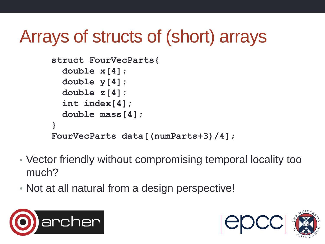### Arrays of structs of (short) arrays

```
struct FourVecParts{ 
   double x[4]; 
   double y[4]; 
   double z[4]; 
   int index[4];
   double mass[4];
} 
FourVecParts data[(numParts+3)/4];
```
- Vector friendly without compromising temporal locality too much?
- Not at all natural from a design perspective!



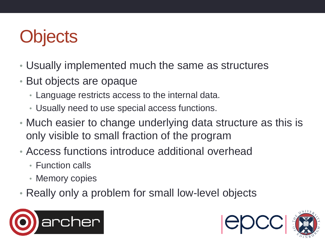### **Objects**

- Usually implemented much the same as structures
- But objects are opaque
	- Language restricts access to the internal data.
	- Usually need to use special access functions.
- Much easier to change underlying data structure as this is only visible to small fraction of the program
- Access functions introduce additional overhead
	- Function calls
	- Memory copies
- Really only a problem for small low-level objects



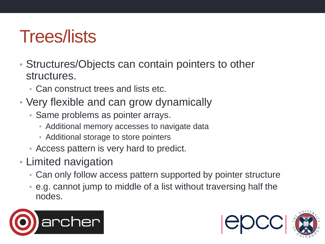#### Trees/lists

- Structures/Objects can contain pointers to other structures.
	- Can construct trees and lists etc.
- Very flexible and can grow dynamically
	- Same problems as pointer arrays.
		- Additional memory accesses to navigate data
		- Additional storage to store pointers
	- Access pattern is very hard to predict.
- Limited navigation
	- Can only follow access pattern supported by pointer structure
	- e.g. cannot jump to middle of a list without traversing half the nodes.



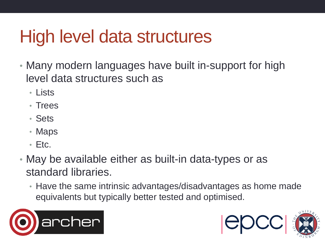#### High level data structures

- Many modern languages have built in-support for high level data structures such as
	- Lists
	- Trees
	- Sets
	- Maps
	- Etc.
- May be available either as built-in data-types or as standard libraries.
	- Have the same intrinsic advantages/disadvantages as home made equivalents but typically better tested and optimised.



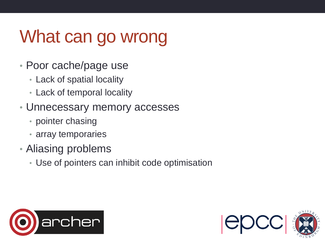### What can go wrong

- Poor cache/page use
	- Lack of spatial locality
	- Lack of temporal locality
- Unnecessary memory accesses
	- pointer chasing
	- array temporaries
- Aliasing problems
	- Use of pointers can inhibit code optimisation



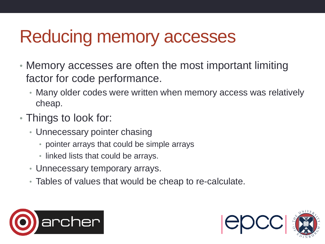#### Reducing memory accesses

- Memory accesses are often the most important limiting factor for code performance.
	- Many older codes were written when memory access was relatively cheap.
- Things to look for:
	- Unnecessary pointer chasing
		- pointer arrays that could be simple arrays
		- linked lists that could be arrays.
	- Unnecessary temporary arrays.
	- Tables of values that would be cheap to re-calculate.



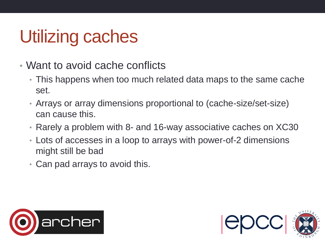#### Utilizing caches

- Want to avoid cache conflicts
	- This happens when too much related data maps to the same cache set.
	- Arrays or array dimensions proportional to (cache-size/set-size) can cause this.
	- Rarely a problem with 8- and 16-way associative caches on XC30
	- Lots of accesses in a loop to arrays with power-of-2 dimensions might still be bad
	- Can pad arrays to avoid this.



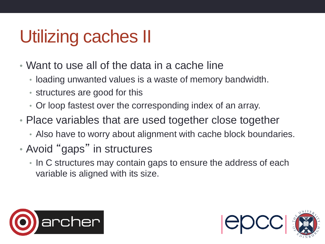### Utilizing caches II

- Want to use all of the data in a cache line
	- loading unwanted values is a waste of memory bandwidth.
	- structures are good for this
	- Or loop fastest over the corresponding index of an array.
- Place variables that are used together close together
	- Also have to worry about alignment with cache block boundaries.
- Avoid "gaps" in structures
	- In C structures may contain gaps to ensure the address of each variable is aligned with its size.



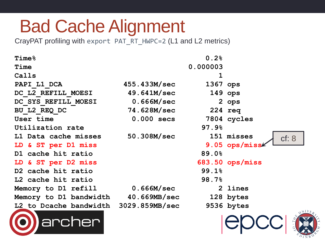#### Bad Cache Alignment

CrayPAT profiling with export PAT\_RT\_HWPC=2 (L1 and L2 metrics)

| <b>Time</b> &                         |              | 0.2%     |                     |
|---------------------------------------|--------------|----------|---------------------|
| Time                                  |              | 0.000003 |                     |
| Calls                                 |              | 1        |                     |
| PAPI L1 DCA                           | 455.433M/sec | 1367 ops |                     |
| DC L2 REFILL MOESI                    | 49.641M/sec  |          | $149$ ops           |
| DC SYS REFILL MOESI                   | 0.666M/sec   |          | 2 ops               |
| BU L2 REQ DC                          | 74.628M/sec  |          | $224$ req           |
| User time                             | $0.000$ secs |          | 7804 cycles         |
| Utilization rate                      |              | 97.9%    |                     |
| L1 Data cache misses                  | 50.308M/sec  |          | 151 misses<br>cf: 8 |
| LD & ST per D1 miss                   |              |          | 9.05 ops/miss       |
| D1 cache hit ratio                    |              | 89.0%    |                     |
| LD & ST per D2 miss                   |              |          | $683.50$ ops/miss   |
| D2 cache hit ratio                    |              | 99.1%    |                     |
| L2 cache hit ratio                    |              | 98.7%    |                     |
| Memory to D1 refill                   | 0.666M/sec   |          | 2 lines             |
| Memory to D1 bandwidth 40.669MB/sec   |              |          | 128 bytes           |
| L2 to Dcache bandwidth 3029.859MB/sec |              |          | 9536 bytes          |
| chen<br>arc                           |              |          |                     |



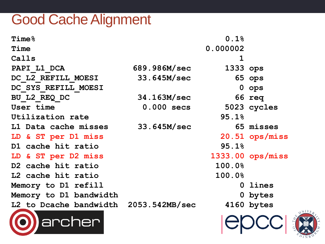#### Good Cache Alignment

| <b>Time</b> %                         |              | 0.1%        |                  |
|---------------------------------------|--------------|-------------|------------------|
| Time                                  |              | 0.000002    |                  |
| Calls                                 |              | $\mathbf 1$ |                  |
| PAPI L1 DCA                           | 689.986M/sec | 1333 ops    |                  |
| DC L2 REFILL MOESI                    | 33.645M/sec  |             | 65 ops           |
| DC SYS REFILL MOESI                   |              |             | 0 ops            |
| BU L2 REQ DC                          | 34.163M/sec  |             | 66 req           |
| User time                             | 0.000 secs   |             | 5023 cycles      |
| Utilization rate                      |              | 95.1%       |                  |
| L1 Data cache misses                  | 33.645M/sec  |             | 65 misses        |
| LD & ST per D1 miss                   |              |             | 20.51 ops/miss   |
| D1 cache hit ratio                    |              | 95.1%       |                  |
| LD & ST per D2 miss                   |              |             | 1333.00 ops/miss |
| D2 cache hit ratio                    |              | 100.0%      |                  |
| L2 cache hit ratio                    |              | 100.0%      |                  |
| Memory to D1 refill                   |              |             | 0 lines          |
| Memory to D1 bandwidth                |              |             | 0 bytes          |
| L2 to Dcache bandwidth 2053.542MB/sec |              |             | 4160 bytes       |
|                                       |              |             |                  |



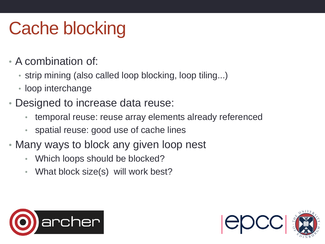### Cache blocking

- A combination of:
	- strip mining (also called loop blocking, loop tiling...)
	- loop interchange
- Designed to increase data reuse:
	- temporal reuse: reuse array elements already referenced
	- spatial reuse: good use of cache lines
- Many ways to block any given loop nest
	- Which loops should be blocked?
	- What block size(s) will work best?



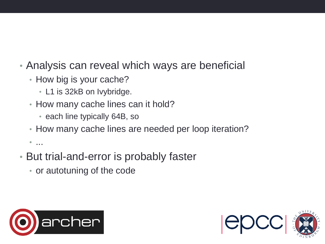- Analysis can reveal which ways are beneficial
	- How big is your cache?
		- L1 is 32kB on Ivybridge.
	- How many cache lines can it hold?
		- each line typically 64B, so
	- How many cache lines are needed per loop iteration?
	- $\bullet$  . . . .
- But trial-and-error is probably faster
	- or autotuning of the code



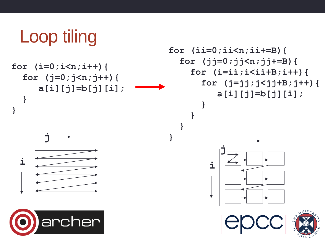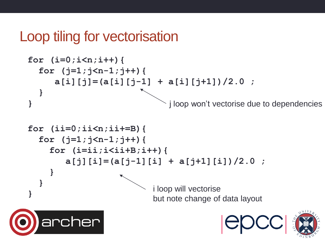#### Loop tiling for vectorisation

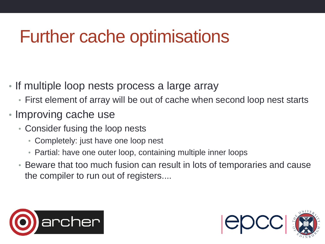#### Further cache optimisations

- If multiple loop nests process a large array
	- First element of array will be out of cache when second loop nest starts
- Improving cache use
	- Consider fusing the loop nests
		- Completely: just have one loop nest
		- Partial: have one outer loop, containing multiple inner loops
	- Beware that too much fusion can result in lots of temporaries and cause the compiler to run out of registers....



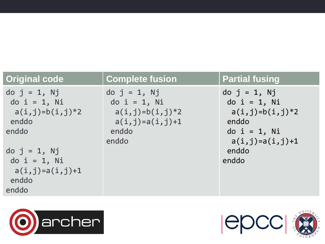| <b>Original code</b>                                                          | <b>Complete fusion</b>                                                          | <b>Partial fusing</b>                                          |
|-------------------------------------------------------------------------------|---------------------------------------------------------------------------------|----------------------------------------------------------------|
| $do$ j = 1, Nj<br>$do$ $i = 1$ , $Ni$<br>$a(i,j)=b(i,j)*2$<br>enddo           | $do$ j = 1, Nj<br>$do$ $i = 1$ , Ni<br>$a(i, j)=b(i, j)*2$<br>$a(i,j)=a(i,j)+1$ | $do$ j = 1, Nj<br>$do$ i = 1, Ni<br>$a(i,j)=b(i,j)*2$<br>enddo |
| enddo                                                                         | enddo<br>enddo                                                                  | $do$ $i = 1$ , Ni<br>$a(i,j)=a(i,j)+1$                         |
| $do$ $j = 1$ , $Nj$<br>do $i = 1$ , Ni<br>$a(i,j)=a(i,j)+1$<br>enddo<br>enddo |                                                                                 | enddo<br>enddo                                                 |





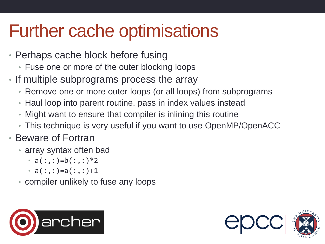#### Further cache optimisations

- Perhaps cache block before fusing
	- Fuse one or more of the outer blocking loops
- If multiple subprograms process the array
	- Remove one or more outer loops (or all loops) from subprograms
	- Haul loop into parent routine, pass in index values instead
	- Might want to ensure that compiler is inlining this routine
	- This technique is very useful if you want to use OpenMP/OpenACC
- Beware of Fortran
	- array syntax often bad
		- $a(:,:) = b(:,:) * 2$
		- $a(:,:) = a(:,:) + 1$
	- compiler unlikely to fuse any loops



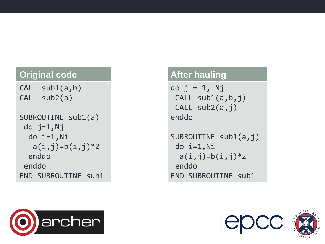#### **Original code**

CALL sub1(a,b ) CALL sub2(a)

```
SUBROUTINE sub1(a)
do j=1,Nj
 do 
i=1,Ni
  a(i,j)=b(i,j)*2 endd
o
enddo
END SUBROUTINE sub1
```
#### **After hauling**

```
do j = 
1, Nj
 CALL sub1(a,b,j
)
 CALL sub2(a,j
)
enddo
```
SUBROUTINE sub1(a,j ) do i=1,Ni  $a(i,j)=b(i,j)*2$ endd o END SUBROUTINE sub1



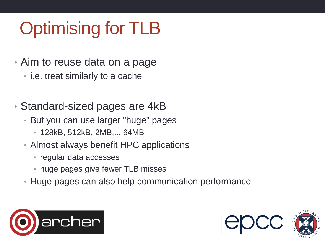## Optimising for TLB

- Aim to reuse data on a page
	- i.e. treat similarly to a cache
- Standard-sized pages are 4kB
	- But you can use larger "huge" pages
		- 128kB, 512kB, 2MB,... 64MB
	- Almost always benefit HPC applications
		- regular data accesses
		- huge pages give fewer TLB misses
	- Huge pages can also help communication performance



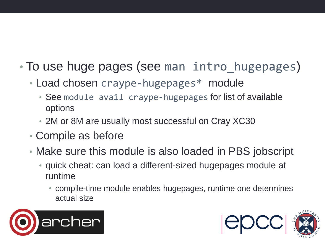- To use huge pages (see man intro hugepages)
	- Load chosen craype-hugepages\* module
		- See module avail craype-hugepages for list of available options
		- 2M or 8M are usually most successful on Cray XC30
	- Compile as before
	- Make sure this module is also loaded in PBS jobscript
		- quick cheat: can load a different-sized hugepages module at runtime
			- compile-time module enables hugepages, runtime one determines actual size



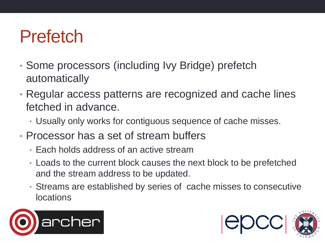#### Prefetch

- Some processors (including Ivy Bridge) prefetch automatically
- Regular access patterns are recognized and cache lines fetched in advance.
	- Usually only works for contiguous sequence of cache misses.
- Processor has a set of stream buffers
	- Each holds address of an active stream
	- Loads to the current block causes the next block to be prefetched and the stream address to be updated.
	- Streams are established by series of cache misses to consecutive locations



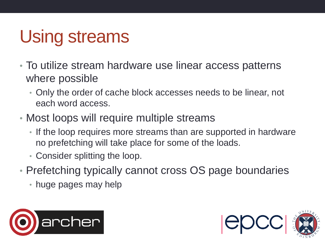### Using streams

- To utilize stream hardware use linear access patterns where possible
	- Only the order of cache block accesses needs to be linear, not each word access.
- Most loops will require multiple streams
	- If the loop requires more streams than are supported in hardware no prefetching will take place for some of the loads.
	- Consider splitting the loop.
- Prefetching typically cannot cross OS page boundaries
	- huge pages may help



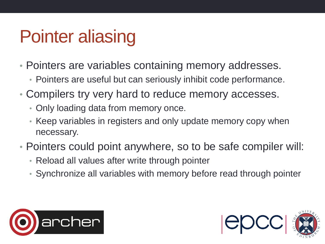### Pointer aliasing

- Pointers are variables containing memory addresses.
	- Pointers are useful but can seriously inhibit code performance.
- Compilers try very hard to reduce memory accesses.
	- Only loading data from memory once.
	- Keep variables in registers and only update memory copy when necessary.
- Pointers could point anywhere, so to be safe compiler will:
	- Reload all values after write through pointer
	- Synchronize all variables with memory before read through pointer



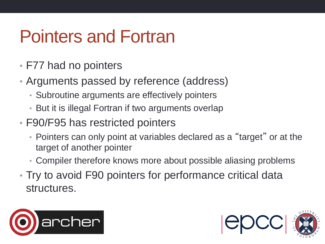#### Pointers and Fortran

- F77 had no pointers
- Arguments passed by reference (address)
	- Subroutine arguments are effectively pointers
	- But it is illegal Fortran if two arguments overlap
- F90/F95 has restricted pointers
	- Pointers can only point at variables declared as a "target" or at the target of another pointer
	- Compiler therefore knows more about possible aliasing problems
- Try to avoid F90 pointers for performance critical data structures.